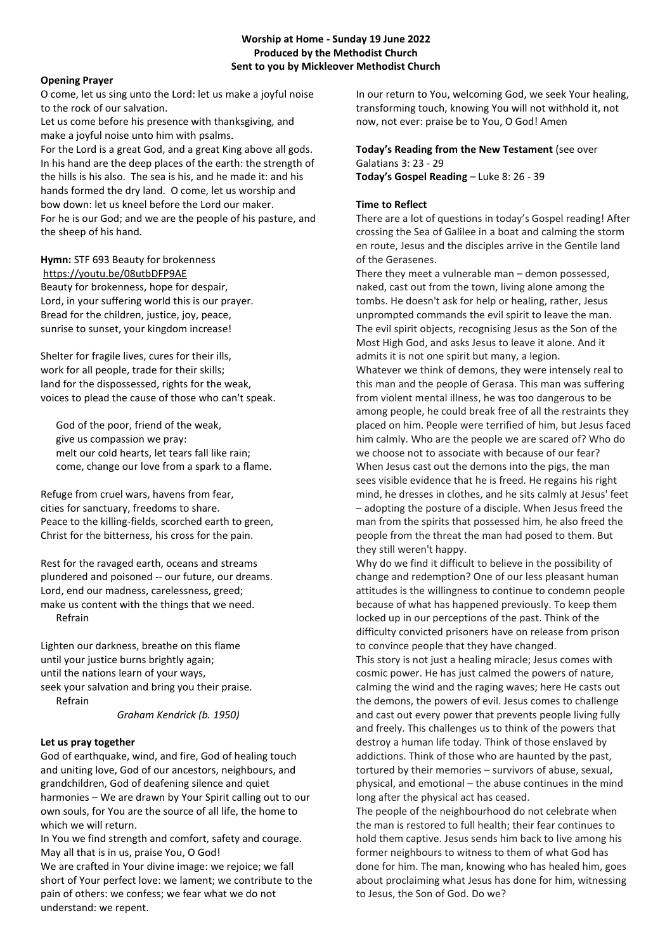## **Worship at Home - Sunday 19 June 2022 Produced by the Methodist Church Sent to you by Mickleover Methodist Church**

## **Opening Prayer**

O come, let us sing unto the Lord: let us make a joyful noise to the rock of our salvation.

Let us come before his presence with thanksgiving, and make a joyful noise unto him with psalms. For the Lord is a great God, and a great King above all gods. In his hand are the deep places of the earth: the strength of

the hills is his also. The sea is his, and he made it: and his hands formed the dry land. O come, let us worship and bow down: let us kneel before the Lord our maker. For he is our God; and we are the people of his pasture, and the sheep of his hand.

# **Hymn:** STF 693 Beauty for brokenness <https://youtu.be/08utbDFP9AE>

Beauty for brokenness, hope for despair, Lord, in your suffering world this is our prayer. Bread for the children, justice, joy, peace, sunrise to sunset, your kingdom increase!

Shelter for fragile lives, cures for their ills, work for all people, trade for their skills; land for the dispossessed, rights for the weak, voices to plead the cause of those who can't speak.

 God of the poor, friend of the weak, give us compassion we pray: melt our cold hearts, let tears fall like rain; come, change our love from a spark to a flame.

Refuge from cruel wars, havens from fear, cities for sanctuary, freedoms to share. Peace to the killing-fields, scorched earth to green, Christ for the bitterness, his cross for the pain.

Rest for the ravaged earth, oceans and streams plundered and poisoned -- our future, our dreams. Lord, end our madness, carelessness, greed; make us content with the things that we need. Refrain

Lighten our darkness, breathe on this flame until your justice burns brightly again; until the nations learn of your ways, seek your salvation and bring you their praise. Refrain

# *Graham Kendrick (b. 1950)*

# **Let us pray together**

God of earthquake, wind, and fire, God of healing touch and uniting love, God of our ancestors, neighbours, and grandchildren, God of deafening silence and quiet harmonies – We are drawn by Your Spirit calling out to our own souls, for You are the source of all life, the home to which we will return.

In You we find strength and comfort, safety and courage. May all that is in us, praise You, O God!

We are crafted in Your divine image: we rejoice; we fall short of Your perfect love: we lament; we contribute to the pain of others: we confess; we fear what we do not understand: we repent.

In our return to You, welcoming God, we seek Your healing, transforming touch, knowing You will not withhold it, not now, not ever: praise be to You, O God! Amen

### **Today's Reading from the New Testament** (see over Galatians 3: 23 - 29 **Today's Gospel Reading** – Luke 8: 26 - 39

# **Time to Reflect**

There are a lot of questions in today's Gospel reading! After crossing the Sea of Galilee in a boat and calming the storm en route, Jesus and the disciples arrive in the Gentile land of the Gerasenes.

There they meet a vulnerable man – demon possessed, naked, cast out from the town, living alone among the tombs. He doesn't ask for help or healing, rather, Jesus unprompted commands the evil spirit to leave the man. The evil spirit objects, recognising Jesus as the Son of the Most High God, and asks Jesus to leave it alone. And it admits it is not one spirit but many, a legion. Whatever we think of demons, they were intensely real to this man and the people of Gerasa. This man was suffering from violent mental illness, he was too dangerous to be among people, he could break free of all the restraints they placed on him. People were terrified of him, but Jesus faced him calmly. Who are the people we are scared of? Who do we choose not to associate with because of our fear? When Jesus cast out the demons into the pigs, the man sees visible evidence that he is freed. He regains his right mind, he dresses in clothes, and he sits calmly at Jesus' feet

– adopting the posture of a disciple. When Jesus freed the man from the spirits that possessed him, he also freed the people from the threat the man had posed to them. But they still weren't happy.

Why do we find it difficult to believe in the possibility of change and redemption? One of our less pleasant human attitudes is the willingness to continue to condemn people because of what has happened previously. To keep them locked up in our perceptions of the past. Think of the difficulty convicted prisoners have on release from prison to convince people that they have changed.

This story is not just a healing miracle; Jesus comes with cosmic power. He has just calmed the powers of nature, calming the wind and the raging waves; here He casts out the demons, the powers of evil. Jesus comes to challenge and cast out every power that prevents people living fully and freely. This challenges us to think of the powers that destroy a human life today. Think of those enslaved by addictions. Think of those who are haunted by the past, tortured by their memories – survivors of abuse, sexual, physical, and emotional – the abuse continues in the mind long after the physical act has ceased.

The people of the neighbourhood do not celebrate when the man is restored to full health; their fear continues to hold them captive. Jesus sends him back to live among his former neighbours to witness to them of what God has done for him. The man, knowing who has healed him, goes about proclaiming what Jesus has done for him, witnessing to Jesus, the Son of God. Do we?